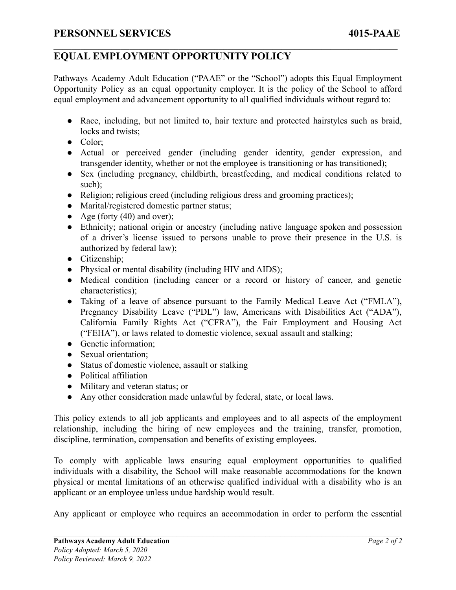## **EQUAL EMPLOYMENT OPPORTUNITY POLICY**

Pathways Academy Adult Education ("PAAE" or the "School") adopts this Equal Employment Opportunity Policy as an equal opportunity employer. It is the policy of the School to afford equal employment and advancement opportunity to all qualified individuals without regard to:

 $\mathcal{L}_\mathcal{L} = \{ \mathcal{L}_\mathcal{L} = \{ \mathcal{L}_\mathcal{L} = \{ \mathcal{L}_\mathcal{L} = \{ \mathcal{L}_\mathcal{L} = \{ \mathcal{L}_\mathcal{L} = \{ \mathcal{L}_\mathcal{L} = \{ \mathcal{L}_\mathcal{L} = \{ \mathcal{L}_\mathcal{L} = \{ \mathcal{L}_\mathcal{L} = \{ \mathcal{L}_\mathcal{L} = \{ \mathcal{L}_\mathcal{L} = \{ \mathcal{L}_\mathcal{L} = \{ \mathcal{L}_\mathcal{L} = \{ \mathcal{L}_\mathcal{$ 

- Race, including, but not limited to, hair texture and protected hairstyles such as braid, locks and twists;
- Color;
- Actual or perceived gender (including gender identity, gender expression, and transgender identity, whether or not the employee is transitioning or has transitioned);
- Sex (including pregnancy, childbirth, breastfeeding, and medical conditions related to such):
- Religion; religious creed (including religious dress and grooming practices);
- Marital/registered domestic partner status;
- Age (forty  $(40)$  and over);
- Ethnicity; national origin or ancestry (including native language spoken and possession of a driver's license issued to persons unable to prove their presence in the U.S. is authorized by federal law);
- Citizenship;
- Physical or mental disability (including HIV and AIDS);
- Medical condition (including cancer or a record or history of cancer, and genetic characteristics);
- Taking of a leave of absence pursuant to the Family Medical Leave Act ("FMLA"), Pregnancy Disability Leave ("PDL") law, Americans with Disabilities Act ("ADA"), California Family Rights Act ("CFRA"), the Fair Employment and Housing Act ("FEHA"), or laws related to domestic violence, sexual assault and stalking;
- Genetic information;
- Sexual orientation:
- Status of domestic violence, assault or stalking
- Political affiliation
- Military and veteran status; or
- Any other consideration made unlawful by federal, state, or local laws.

This policy extends to all job applicants and employees and to all aspects of the employment relationship, including the hiring of new employees and the training, transfer, promotion, discipline, termination, compensation and benefits of existing employees.

To comply with applicable laws ensuring equal employment opportunities to qualified individuals with a disability, the School will make reasonable accommodations for the known physical or mental limitations of an otherwise qualified individual with a disability who is an applicant or an employee unless undue hardship would result.

Any applicant or employee who requires an accommodation in order to perform the essential